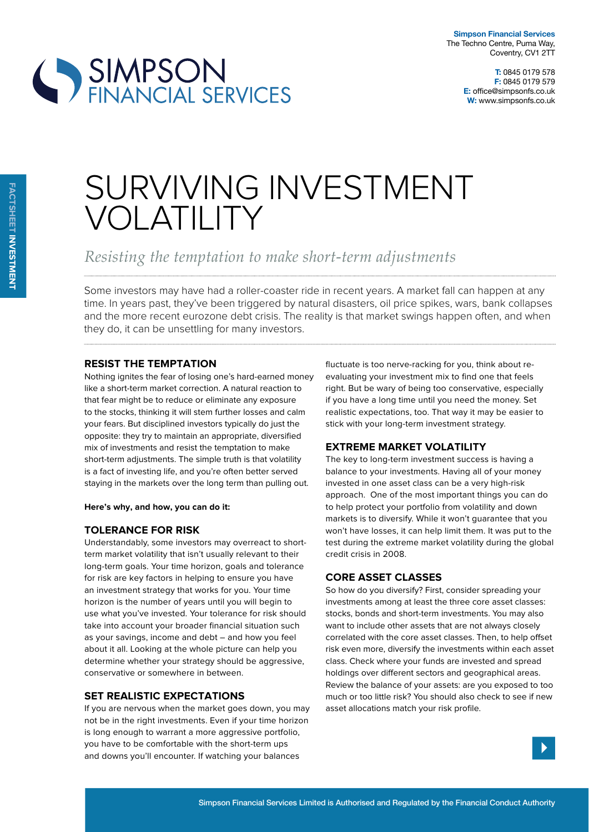**T:** 0845 0179 578 **F:** 0845 0179 579 **E:** office@simpsonfs.co.uk **W:** www.simpsonfs.co.uk

# SIMPSON<br>FINANCIAL SERVICES

# SURVIVING INVESTMENT VOLATILITY

*Resisting the temptation to make short-term adjustments*

Some investors may have had a roller-coaster ride in recent years. A market fall can happen at any time. In years past, they've been triggered by natural disasters, oil price spikes, wars, bank collapses and the more recent eurozone debt crisis. The reality is that market swings happen often, and when they do, it can be unsettling for many investors.

### **resist tHe temptation**

Nothing ignites the fear of losing one's hard-earned money like a short-term market correction. A natural reaction to that fear might be to reduce or eliminate any exposure to the stocks, thinking it will stem further losses and calm your fears. But disciplined investors typically do just the opposite: they try to maintain an appropriate, diversified mix of investments and resist the temptation to make short-term adjustments. The simple truth is that volatility is a fact of investing life, and you're often better served staying in the markets over the long term than pulling out.

#### **Here's why, and how, you can do it:**

# **tolerance For risk**

Understandably, some investors may overreact to shortterm market volatility that isn't usually relevant to their long-term goals. Your time horizon, goals and tolerance for risk are key factors in helping to ensure you have an investment strategy that works for you. Your time horizon is the number of years until you will begin to use what you've invested. Your tolerance for risk should take into account your broader financial situation such as your savings, income and debt – and how you feel about it all. Looking at the whole picture can help you determine whether your strategy should be aggressive, conservative or somewhere in between.

### **set realistic expectations**

If you are nervous when the market goes down, you may not be in the right investments. Even if your time horizon is long enough to warrant a more aggressive portfolio, you have to be comfortable with the short-term ups and downs you'll encounter. If watching your balances

fluctuate is too nerve-racking for you, think about reevaluating your investment mix to find one that feels right. But be wary of being too conservative, especially if you have a long time until you need the money. Set realistic expectations, too. That way it may be easier to stick with your long-term investment strategy.

# **extreme market volatility**

The key to long-term investment success is having a balance to your investments. Having all of your money invested in one asset class can be a very high-risk approach. One of the most important things you can do to help protect your portfolio from volatility and down markets is to diversify. While it won't guarantee that you won't have losses, it can help limit them. It was put to the test during the extreme market volatility during the global credit crisis in 2008.

### **core asset classes**

So how do you diversify? First, consider spreading your investments among at least the three core asset classes: stocks, bonds and short-term investments. You may also want to include other assets that are not always closely correlated with the core asset classes. Then, to help ofset risk even more, diversify the investments within each asset class. Check where your funds are invested and spread holdings over diferent sectors and geographical areas. Review the balance of your assets: are you exposed to too much or too little risk? You should also check to see if new asset allocations match your risk profile.